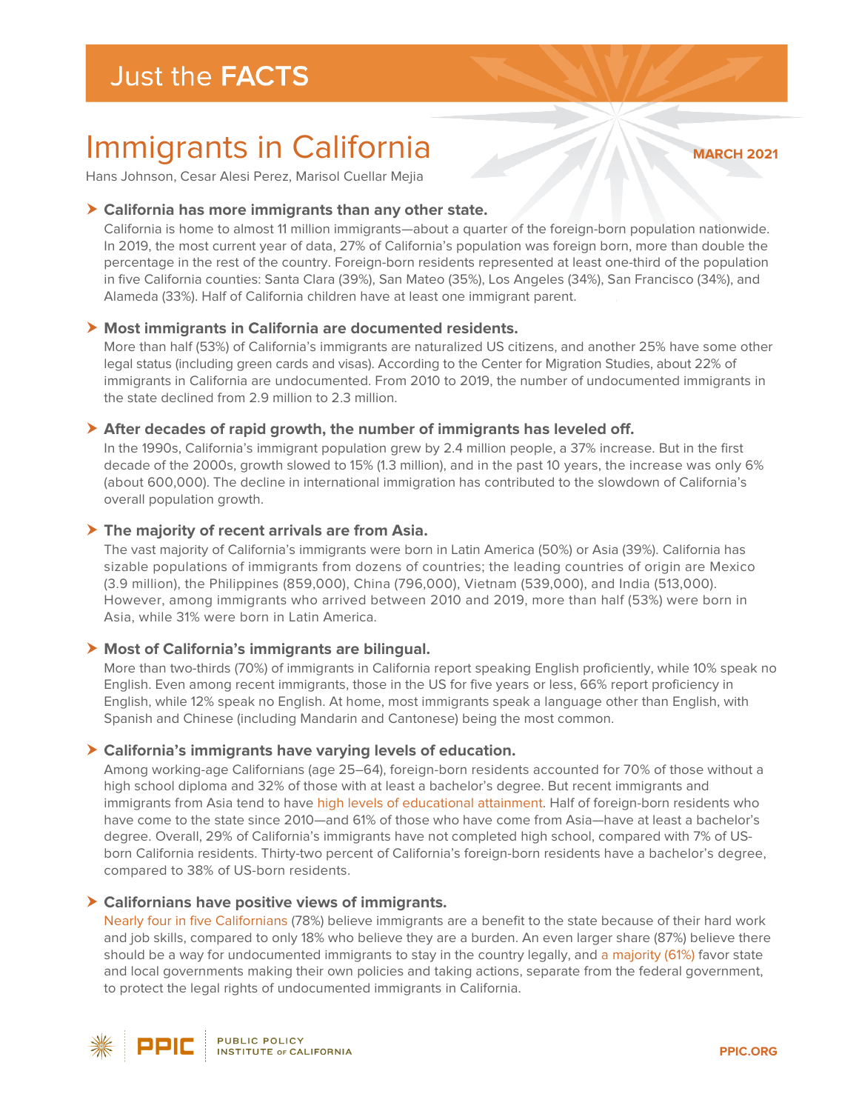# Immigrants in California

**MARCH 2021**

Hans Johnson, Cesar Alesi Perez, Marisol Cuellar Mejia

# **California has more immigrants than any other state.**

California is home to almost 11 million immigrants—about a quarter of the foreign-born population nationwide. In 2019, the most current year of data, 27% of California's population was foreign born, more than double the percentage in the rest of the country. Foreign-born residents represented at least one-third of the population in five California counties: Santa Clara (39%), San Mateo (35%), Los Angeles (34%), San Francisco (34%), and Alameda (33%). Half of California children have at least one immigrant parent.

# **Most immigrants in California are documented residents.**

More than half (53%) of California's immigrants are naturalized US citizens, and another 25% have some other legal status (including green cards and visas). According to the Center for Migration Studies, about 22% of immigrants in California are undocumented. From 2010 to 2019, the number of undocumented immigrants in the state declined from 2.9 million to 2.3 million.

## **After decades of rapid growth, the number of immigrants has leveled off.**

In the 1990s, California's immigrant population grew by 2.4 million people, a 37% increase. But in the first decade of the 2000s, growth slowed to 15% (1.3 million), and in the past 10 years, the increase was only 6% (about 600,000). The decline in international immigration has contributed to the slowdown of California's overall population growth.

### **The majority of recent arrivals are from Asia.**

The vast majority of California's immigrants were born in Latin America (50%) or Asia (39%). California has sizable populations of immigrants from dozens of countries; the leading countries of origin are Mexico (3.9 million), the Philippines (859,000), China (796,000), Vietnam (539,000), and India (513,000). However, among immigrants who arrived between 2010 and 2019, more than half (53%) were born in Asia, while 31% were born in Latin America.

# **Most of California's immigrants are bilingual.**

More than two-thirds (70%) of immigrants in California report speaking English proficiently, while 10% speak no English. Even among recent immigrants, those in the US for five years or less, 66% report proficiency in English, while 12% speak no English. At home, most immigrants speak a language other than English, with Spanish and Chinese (including Mandarin and Cantonese) being the most common.

### **California's immigrants have varying levels of education.**

Among working-age Californians (age 25–64), foreign-born residents accounted for 70% of those without a high school diploma and 32% of those with at least a bachelor's degree. But recent immigrants and immigrants from Asia tend to have [high levels of educational attainment.](https://www.ppic.org/publication/immigrants-and-education-in-california/) Half of foreign-born residents who have come to the state since 2010—and 61% of those who have come from Asia—have at least a bachelor's degree. Overall, 29% of California's immigrants have not completed high school, compared with 7% of USborn California residents. Thirty-two percent of California's foreign-born residents have a bachelor's degree, compared to 38% of US-born residents.

### **Californians have positive views of immigrants.**

[Nearly four in five Californians](https://www.ppic.org/publication/ppic-statewide-survey-californians-and-their-government-january-2021/) (78%) believe immigrants are a benefit to the state because of their hard work and job skills, compared to only 18% who believe they are a burden. An even larger share (87%) believe there should be a way for undocumented immigrants to stay in the country legally, and [a majority \(61%\)](https://www.ppic.org/publication/ppic-statewide-survey-californians-and-their-government-march-2019/) favor state and local governments making their own policies and taking actions, separate from the federal government, to protect the legal rights of undocumented immigrants in California.